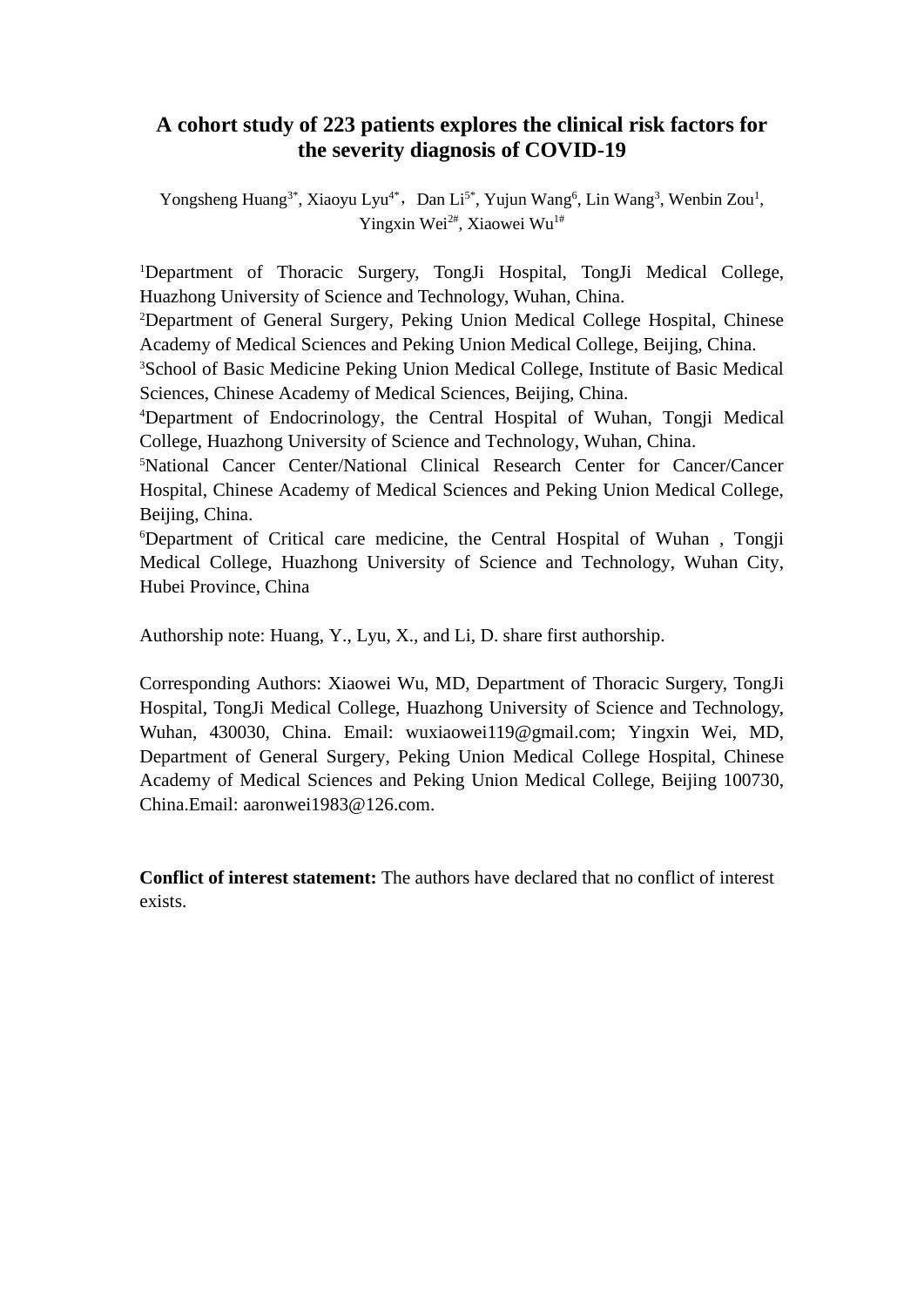# **A cohort study of 223 patients explores the clinical risk factors for the severity diagnosis of COVID-19**

Yongsheng Huang<sup>3\*</sup>, Xiaoyu Lyu<sup>4\*</sup>, Dan Li<sup>5\*</sup>, Yujun Wang<sup>6</sup>, Lin Wang<sup>3</sup>, Wenbin Zou<sup>1</sup>, Yingxin Wei<sup>2#</sup>, Xiaowei Wu<sup>1#</sup>

<sup>1</sup>Department of Thoracic Surgery, TongJi Hospital, TongJi Medical College, Huazhong University of Science and Technology, Wuhan, China.

<sup>2</sup>Department of General Surgery, Peking Union Medical College Hospital, Chinese Academy of Medical Sciences and Peking Union Medical College, Beijing, China.

<sup>3</sup>School of Basic Medicine Peking Union Medical College, Institute of Basic Medical Sciences, Chinese Academy of Medical Sciences, Beijing, China.

<sup>4</sup>Department of Endocrinology, the Central Hospital of Wuhan, Tongji Medical College, Huazhong University of Science and Technology, Wuhan, China.

<sup>5</sup>National Cancer Center/National Clinical Research Center for Cancer/Cancer Hospital, Chinese Academy of Medical Sciences and Peking Union Medical College, Beijing, China.

<sup>6</sup>Department of Critical care medicine, the Central Hospital of Wuhan, Tongji Medical College, Huazhong University of Science and Technology, Wuhan City, Hubei Province, China

Authorship note: Huang, Y., Lyu, X., and Li, D. share first authorship.

Corresponding Authors: Xiaowei Wu, MD, Department of Thoracic Surgery, TongJi Hospital, TongJi Medical College, Huazhong University of Science and Technology, Wuhan, 430030, China. Email: wuxiaowei119@gmail.com; Yingxin Wei, MD, Department of General Surgery, Peking Union Medical College Hospital, Chinese Academy of Medical Sciences and Peking Union Medical College, Beijing 100730, China.Email: aaronwei1983@126.com.

**Conflict of interest statement:** The authors have declared that no conflict of interest exists.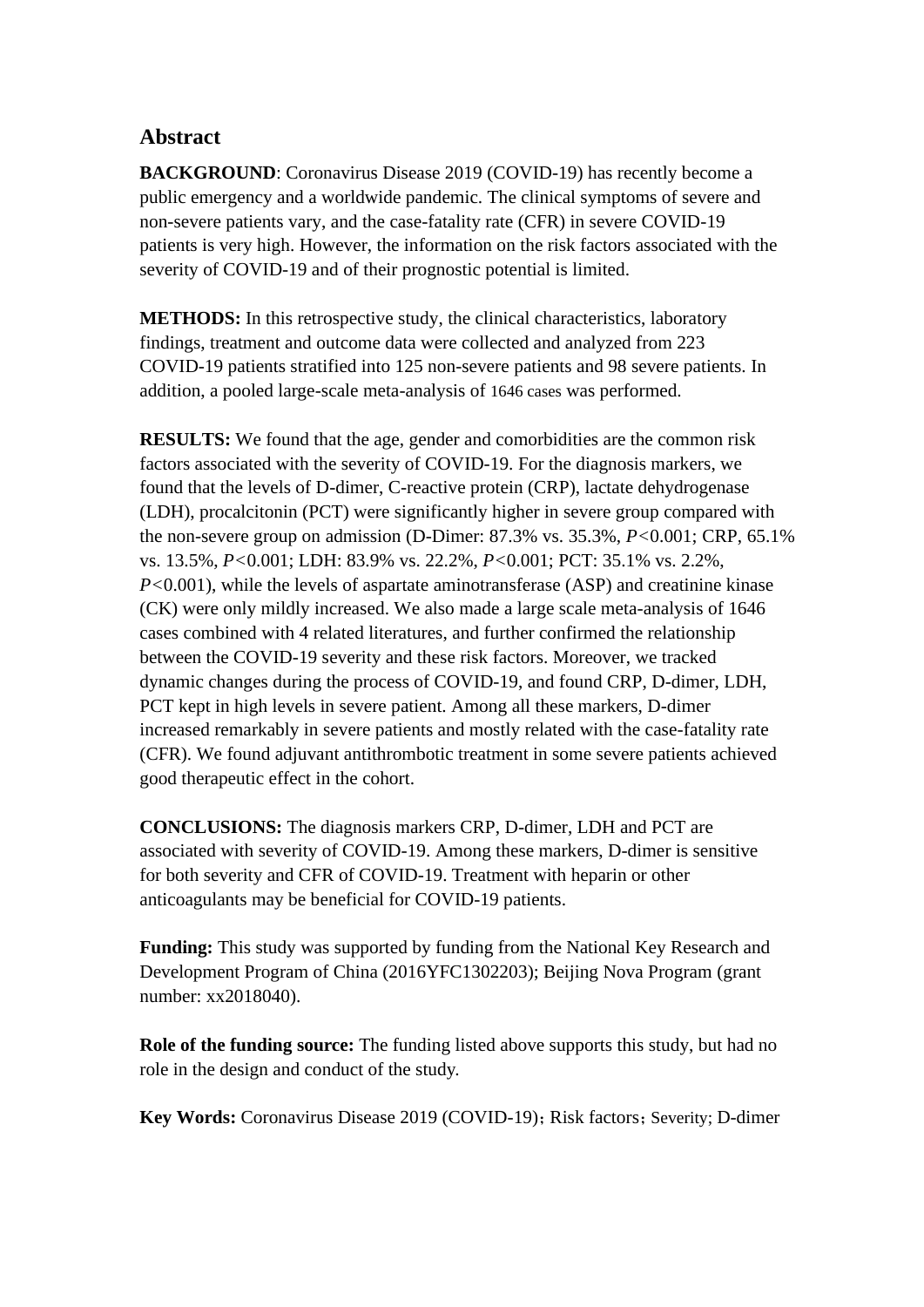# **Abstract**

**BACKGROUND**: Coronavirus Disease 2019 (COVID-19) has recently become a public emergency and a worldwide pandemic. The clinical symptoms of severe and non-severe patients vary, and the case-fatality rate (CFR) in severe COVID-19 patients is very high. However, the information on the risk factors associated with the severity of COVID-19 and of their prognostic potential is limited.

**METHODS:** In this retrospective study, the clinical characteristics, laboratory findings, treatment and outcome data were collected and analyzed from 223 COVID-19 patients stratified into 125 non-severe patients and 98 severe patients. In addition, a pooled large-scale meta-analysis of 1646 cases was performed.

**RESULTS:** We found that the age, gender and comorbidities are the common risk factors associated with the severity of COVID-19. For the diagnosis markers, we found that the levels of D-dimer, C-reactive protein (CRP), lactate dehydrogenase (LDH), procalcitonin (PCT) were significantly higher in severe group compared with the non-severe group on admission (D-Dimer: 87.3% vs. 35.3%, *P<*0.001; CRP, 65.1% vs. 13.5%, *P<*0.001; LDH: 83.9% vs. 22.2%, *P<*0.001; PCT: 35.1% vs. 2.2%, *P*<0.001), while the levels of aspartate aminotransferase (ASP) and creatinine kinase (CK) were only mildly increased. We also made a large scale meta-analysis of 1646 cases combined with 4 related literatures, and further confirmed the relationship between the COVID-19 severity and these risk factors. Moreover, we tracked dynamic changes during the process of COVID-19, and found CRP, D-dimer, LDH, PCT kept in high levels in severe patient. Among all these markers, D-dimer increased remarkably in severe patients and mostly related with the case-fatality rate (CFR). We found adjuvant antithrombotic treatment in some severe patients achieved good therapeutic effect in the cohort.

**CONCLUSIONS:** The diagnosis markers CRP, D-dimer, LDH and PCT are associated with severity of COVID-19. Among these markers, D-dimer is sensitive for both severity and CFR of COVID-19. Treatment with heparin or other anticoagulants may be beneficial for COVID-19 patients.

**Funding:** This study was supported by funding from the National Key Research and Development Program of China (2016YFC1302203); Beijing Nova Program (grant number: xx2018040).

**Role of the funding source:** The funding listed above supports this study, but had no role in the design and conduct of the study.

**Key Words:** Coronavirus Disease 2019 (COVID-19); Risk factors; Severity; D-dimer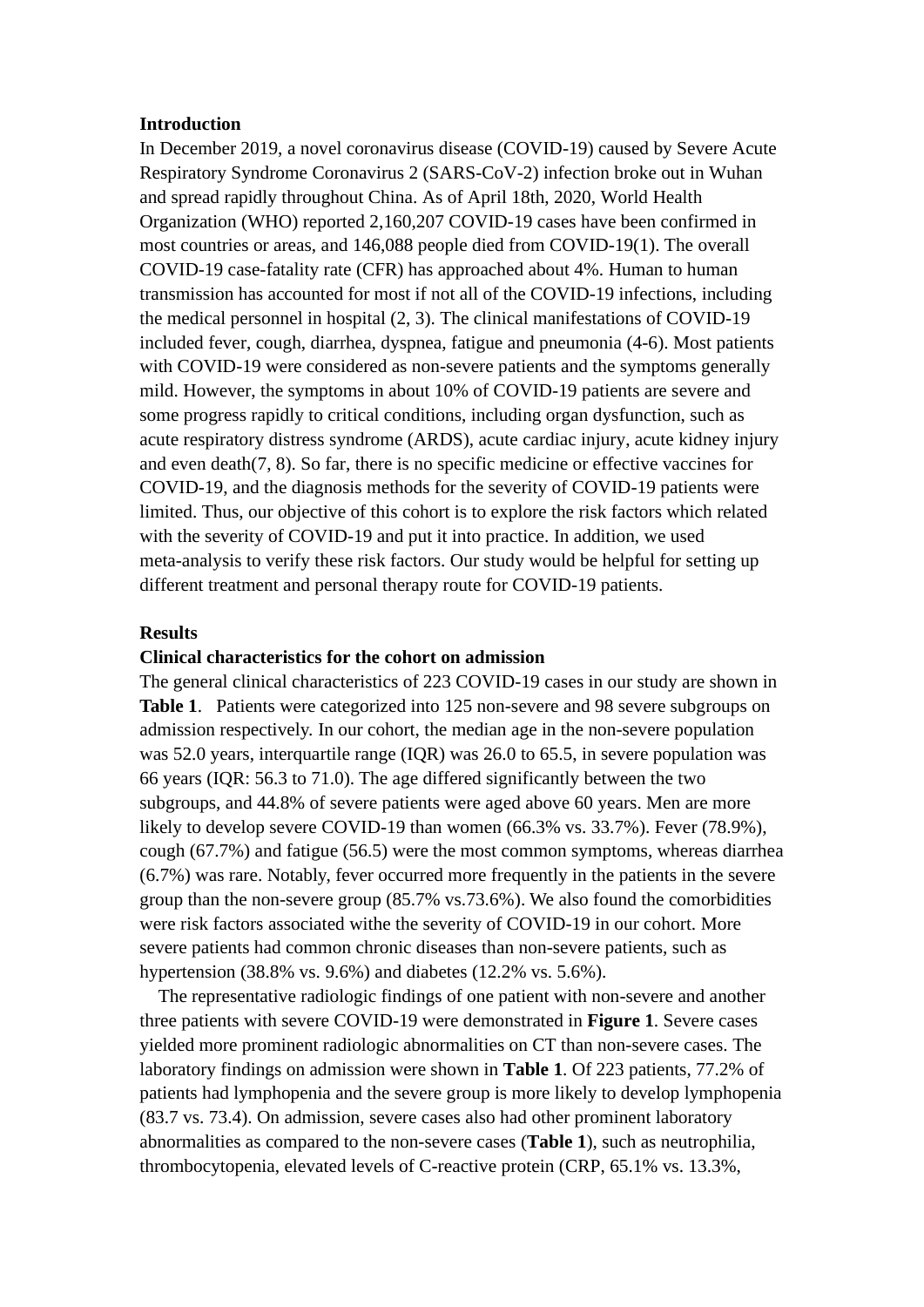### **Introduction**

In December 2019, a novel coronavirus disease (COVID-19) caused by Severe Acute Respiratory Syndrome Coronavirus 2 (SARS-CoV-2) infection broke out in Wuhan and spread rapidly throughout China. As of April 18th, 2020, World Health Organization (WHO) reported 2,160,207 COVID-19 cases have been confirmed in most countries or areas, and 146,088 people died from COVID-19(1). The overall COVID-19 case-fatality rate (CFR) has approached about 4%. Human to human transmission has accounted for most if not all of the COVID-19 infections, including the medical personnel in hospital (2, 3). The clinical manifestations of COVID-19 included fever, cough, diarrhea, dyspnea, fatigue and pneumonia (4-6). Most patients with COVID-19 were considered as non-severe patients and the symptoms generally mild. However, the symptoms in about 10% of COVID-19 patients are severe and some progress rapidly to critical conditions, including organ dysfunction, such as acute respiratory distress syndrome (ARDS), acute cardiac injury, acute kidney injury and even death(7, 8). So far, there is no specific medicine or effective vaccines for COVID-19, and the diagnosis methods for the severity of COVID-19 patients were limited. Thus, our objective of this cohort is to explore the risk factors which related with the severity of COVID-19 and put it into practice. In addition, we used meta-analysis to verify these risk factors. Our study would be helpful for setting up different treatment and personal therapy route for COVID-19 patients.

#### **Results**

### **Clinical characteristics for the cohort on admission**

The general clinical characteristics of 223 COVID-19 cases in our study are shown in **Table 1**. Patients were categorized into 125 non-severe and 98 severe subgroups on admission respectively. In our cohort, the median age in the non-severe population was 52.0 years, interquartile range (IQR) was 26.0 to 65.5, in severe population was 66 years (IQR: 56.3 to 71.0). The age differed significantly between the two subgroups, and 44.8% of severe patients were aged above 60 years. Men are more likely to develop severe COVID-19 than women (66.3% vs. 33.7%). Fever (78.9%), cough (67.7%) and fatigue (56.5) were the most common symptoms, whereas diarrhea (6.7%) was rare. Notably, fever occurred more frequently in the patients in the severe group than the non-severe group (85.7% vs.73.6%). We also found the comorbidities were risk factors associated withe the severity of COVID-19 in our cohort. More severe patients had common chronic diseases than non-severe patients, such as hypertension (38.8% vs. 9.6%) and diabetes (12.2% vs. 5.6%).

The representative radiologic findings of one patient with non-severe and another three patients with severe COVID-19 were demonstrated in **Figure 1**. Severe cases yielded more prominent radiologic abnormalities on CT than non-severe cases. The laboratory findings on admission were shown in **Table 1**. Of 223 patients, 77.2% of patients had lymphopenia and the severe group is more likely to develop lymphopenia (83.7 vs. 73.4). On admission, severe cases also had other prominent laboratory abnormalities as compared to the non-severe cases (**Table 1**), such as neutrophilia, thrombocytopenia, elevated levels of C-reactive protein (CRP, 65.1% vs. 13.3%,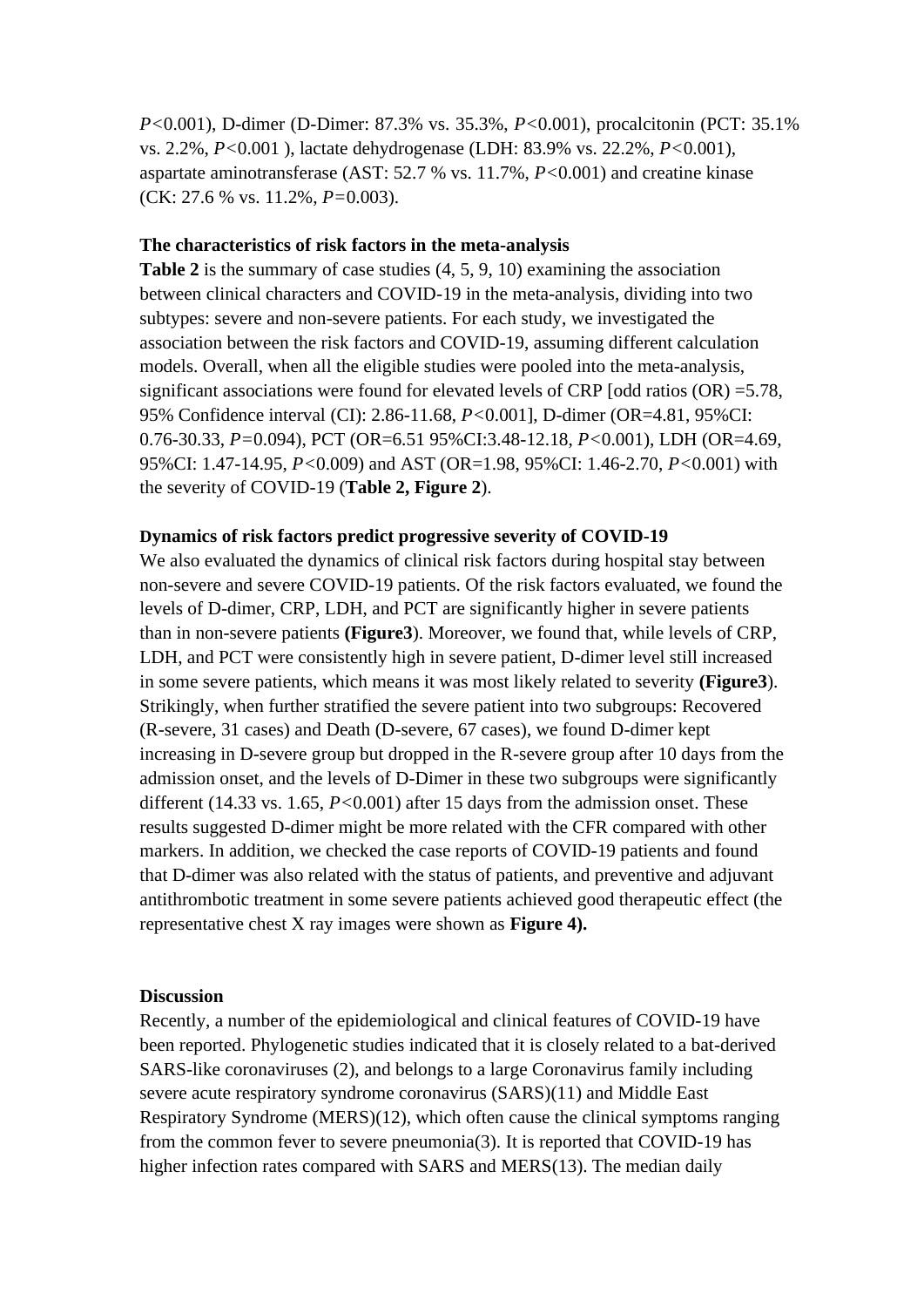*P<*0.001), D-dimer (D-Dimer: 87.3% vs. 35.3%, *P<*0.001), procalcitonin (PCT: 35.1% vs. 2.2%, *P<*0.001 ), lactate dehydrogenase (LDH: 83.9% vs. 22.2%, *P<*0.001), aspartate aminotransferase (AST: 52.7 % vs. 11.7%, *P<*0.001) and creatine kinase (CK: 27.6 % vs. 11.2%, *P=*0.003).

### **The characteristics of risk factors in the meta-analysis**

**Table 2** is the summary of case studies  $(4, 5, 9, 10)$  examining the association between clinical characters and COVID-19 in the meta-analysis, dividing into two subtypes: severe and non-severe patients. For each study, we investigated the association between the risk factors and COVID-19, assuming different calculation models. Overall, when all the eligible studies were pooled into the meta-analysis, significant associations were found for elevated levels of CRP [odd ratios (OR) =5.78, 95% Confidence interval (CI): 2.86-11.68, *P<*0.001], D-dimer (OR=4.81, 95%CI: 0.76-30.33, *P=*0.094), PCT (OR=6.51 95%CI:3.48-12.18, *P<*0.001), LDH (OR=4.69, 95%CI: 1.47-14.95, *P<*0.009) and AST (OR=1.98, 95%CI: 1.46-2.70, *P<*0.001) with the severity of COVID-19 (**Table 2, Figure 2**).

### **Dynamics of risk factors predict progressive severity of COVID-19**

We also evaluated the dynamics of clinical risk factors during hospital stay between non-severe and severe COVID-19 patients. Of the risk factors evaluated, we found the levels of D-dimer, CRP, LDH, and PCT are significantly higher in severe patients than in non-severe patients **(Figure3**). Moreover, we found that, while levels of CRP, LDH, and PCT were consistently high in severe patient, D-dimer level still increased in some severe patients, which means it was most likely related to severity **(Figure3**). Strikingly, when further stratified the severe patient into two subgroups: Recovered (R-severe, 31 cases) and Death (D-severe, 67 cases), we found D-dimer kept increasing in D-severe group but dropped in the R-severe group after 10 days from the admission onset, and the levels of D-Dimer in these two subgroups were significantly different (14.33 vs. 1.65, *P<*0.001) after 15 days from the admission onset. These results suggested D-dimer might be more related with the CFR compared with other markers. In addition, we checked the case reports of COVID-19 patients and found that D-dimer was also related with the status of patients, and preventive and adjuvant antithrombotic treatment in some severe patients achieved good therapeutic effect (the representative chest X ray images were shown as **Figure 4).**

#### **Discussion**

Recently, a number of the epidemiological and clinical features of COVID-19 have been reported. Phylogenetic studies indicated that it is closely related to a bat-derived SARS-like coronaviruses (2), and belongs to a large Coronavirus family including severe acute respiratory syndrome coronavirus (SARS)(11) and Middle East Respiratory Syndrome (MERS)(12), which often cause the clinical symptoms ranging from the common fever to severe pneumonia(3). It is reported that COVID-19 has higher infection rates compared with SARS and MERS(13). The median daily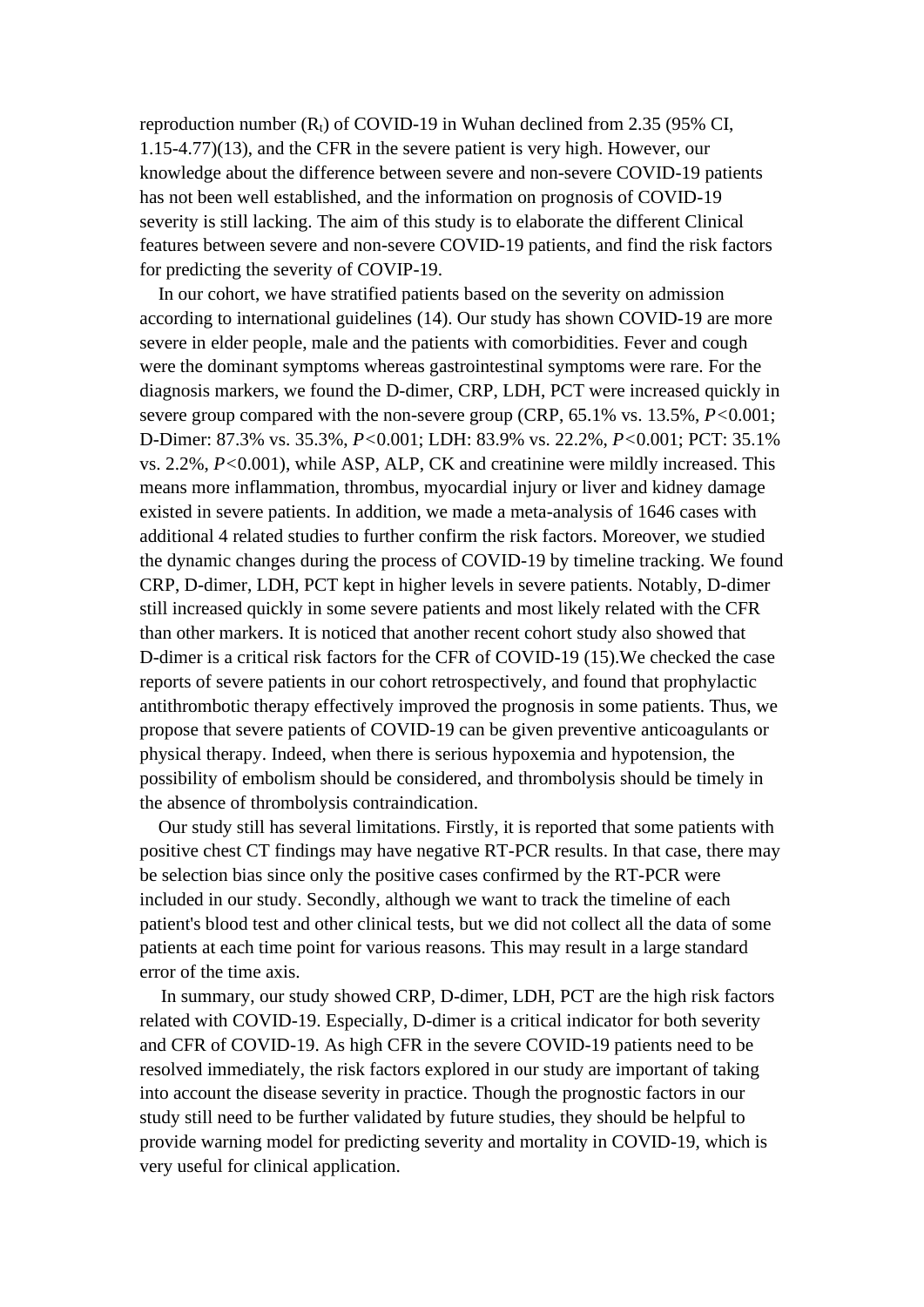reproduction number  $(R_t)$  of COVID-19 in Wuhan declined from 2.35 (95% CI, 1.15-4.77)(13), and the CFR in the severe patient is very high. However, our knowledge about the difference between severe and non-severe COVID-19 patients has not been well established, and the information on prognosis of COVID-19 severity is still lacking. The aim of this study is to elaborate the different Clinical features between severe and non-severe COVID-19 patients, and find the risk factors for predicting the severity of COVIP-19.

In our cohort, we have stratified patients based on the severity on admission according to international guidelines (14). Our study has shown COVID-19 are more severe in elder people, male and the patients with comorbidities. Fever and cough were the dominant symptoms whereas gastrointestinal symptoms were rare. For the diagnosis markers, we found the D-dimer, CRP, LDH, PCT were increased quickly in severe group compared with the non-severe group (CRP, 65.1% vs. 13.5%, *P<*0.001; D-Dimer: 87.3% vs. 35.3%, *P<*0.001; LDH: 83.9% vs. 22.2%, *P<*0.001; PCT: 35.1% vs. 2.2%, *P<*0.001), while ASP, ALP, CK and creatinine were mildly increased. This means more inflammation, thrombus, myocardial injury or liver and kidney damage existed in severe patients. In addition, we made a meta-analysis of 1646 cases with additional 4 related studies to further confirm the risk factors. Moreover, we studied the dynamic changes during the process of COVID-19 by timeline tracking. We found CRP, D-dimer, LDH, PCT kept in higher levels in severe patients. Notably, D-dimer still increased quickly in some severe patients and most likely related with the CFR than other markers. It is noticed that another recent cohort study also showed that D-dimer is a critical risk factors for the CFR of COVID-19 (15).We checked the case reports of severe patients in our cohort retrospectively, and found that prophylactic antithrombotic therapy effectively improved the prognosis in some patients. Thus, we propose that severe patients of COVID-19 can be given preventive anticoagulants or physical therapy. Indeed, when there is serious hypoxemia and hypotension, the possibility of embolism should be considered, and thrombolysis should be timely in the absence of thrombolysis contraindication.

Our study still has several limitations. Firstly, it is reported that some patients with positive chest CT findings may have negative RT-PCR results. In that case, there may be selection bias since only the positive cases confirmed by the RT-PCR were included in our study. Secondly, although we want to track the timeline of each patient's blood test and other clinical tests, but we did not collect all the data of some patients at each time point for various reasons. This may result in a large standard error of the time axis.

 In summary, our study showed CRP, D-dimer, LDH, PCT are the high risk factors related with COVID-19. Especially, D-dimer is a critical indicator for both severity and CFR of COVID-19. As high CFR in the severe COVID-19 patients need to be resolved immediately, the risk factors explored in our study are important of taking into account the disease severity in practice. Though the prognostic factors in our study still need to be further validated by future studies, they should be helpful to provide warning model for predicting severity and mortality in COVID-19, which is very useful for clinical application.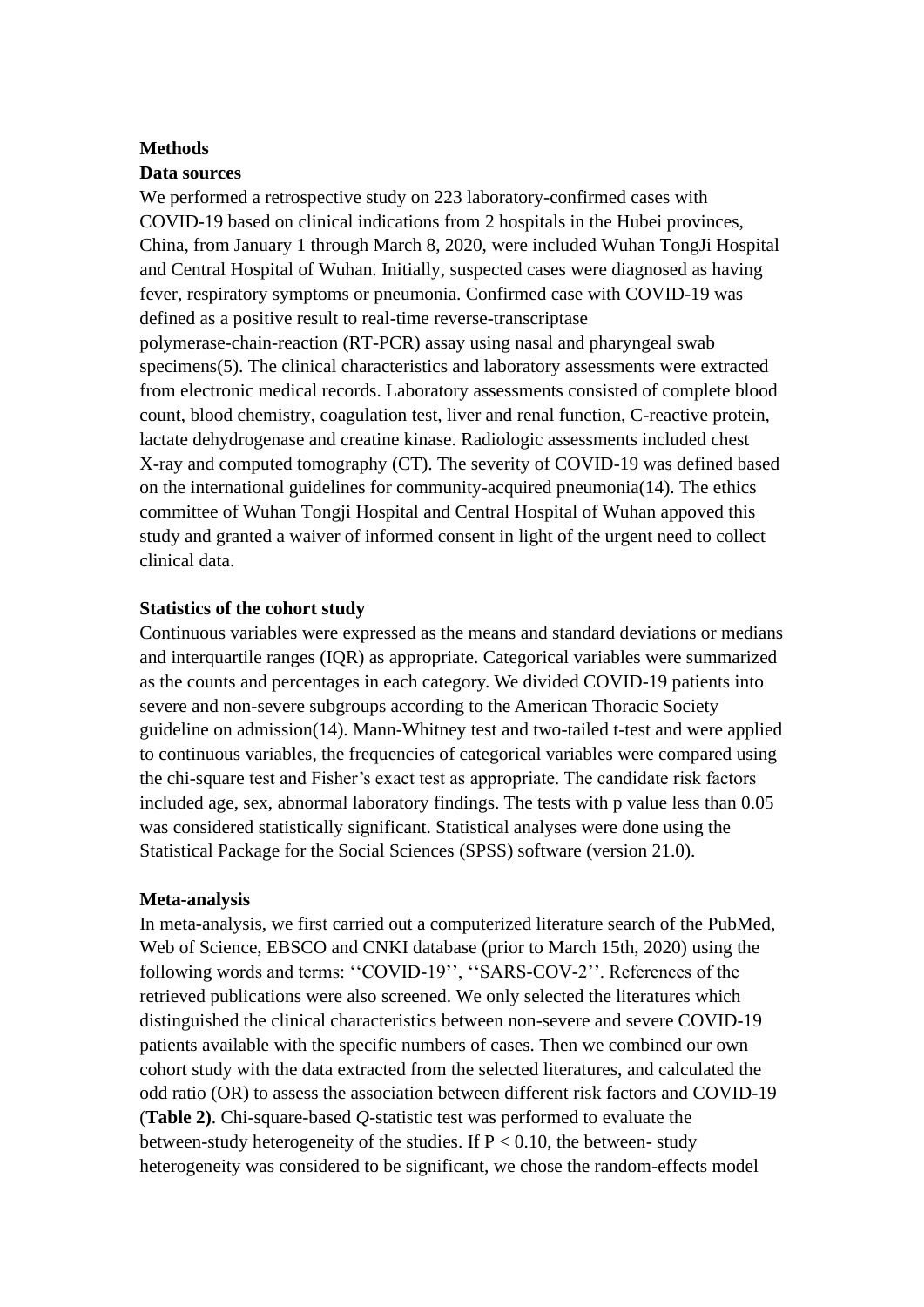### **Methods**

### **Data sources**

We performed a retrospective study on 223 laboratory-confirmed cases with COVID-19 based on clinical indications from 2 hospitals in the Hubei provinces, China, from January 1 through March 8, 2020, were included Wuhan TongJi Hospital and Central Hospital of Wuhan. Initially, suspected cases were diagnosed as having fever, respiratory symptoms or pneumonia. Confirmed case with COVID-19 was defined as a positive result to real-time reverse-transcriptase polymerase-chain-reaction (RT-PCR) assay using nasal and pharyngeal swab specimens(5). The clinical characteristics and laboratory assessments were extracted from electronic medical records. Laboratory assessments consisted of complete blood count, blood chemistry, coagulation test, liver and renal function, C-reactive protein, lactate dehydrogenase and creatine kinase. Radiologic assessments included chest X-ray and computed tomography (CT). The severity of COVID-19 was defined based on the international guidelines for community-acquired pneumonia(14). The ethics committee of Wuhan Tongji Hospital and Central Hospital of Wuhan appoved this study and granted a waiver of informed consent in light of the urgent need to collect clinical data.

### **Statistics of the cohort study**

Continuous variables were expressed as the means and standard deviations or medians and interquartile ranges (IQR) as appropriate. Categorical variables were summarized as the counts and percentages in each category. We divided COVID-19 patients into severe and non-severe subgroups according to the American Thoracic Society guideline on admission(14). Mann-Whitney test and two-tailed t-test and were applied to continuous variables, the frequencies of categorical variables were compared using the chi-square test and Fisher's exact test as appropriate. The candidate risk factors included age, sex, abnormal laboratory findings. The tests with p value less than 0.05 was considered statistically significant. Statistical analyses were done using the Statistical Package for the Social Sciences (SPSS) software (version 21.0).

#### **Meta-analysis**

In meta-analysis, we first carried out a computerized literature search of the PubMed, Web of Science, EBSCO and CNKI database (prior to March 15th, 2020) using the following words and terms: ''COVID-19'', ''SARS-COV-2''. References of the retrieved publications were also screened. We only selected the literatures which distinguished the clinical characteristics between non-severe and severe COVID-19 patients available with the specific numbers of cases. Then we combined our own cohort study with the data extracted from the selected literatures, and calculated the odd ratio (OR) to assess the association between different risk factors and COVID-19 (**Table 2)**. Chi-square-based *Q*-statistic test was performed to evaluate the between-study heterogeneity of the studies. If  $P < 0.10$ , the between-study heterogeneity was considered to be significant, we chose the random-effects model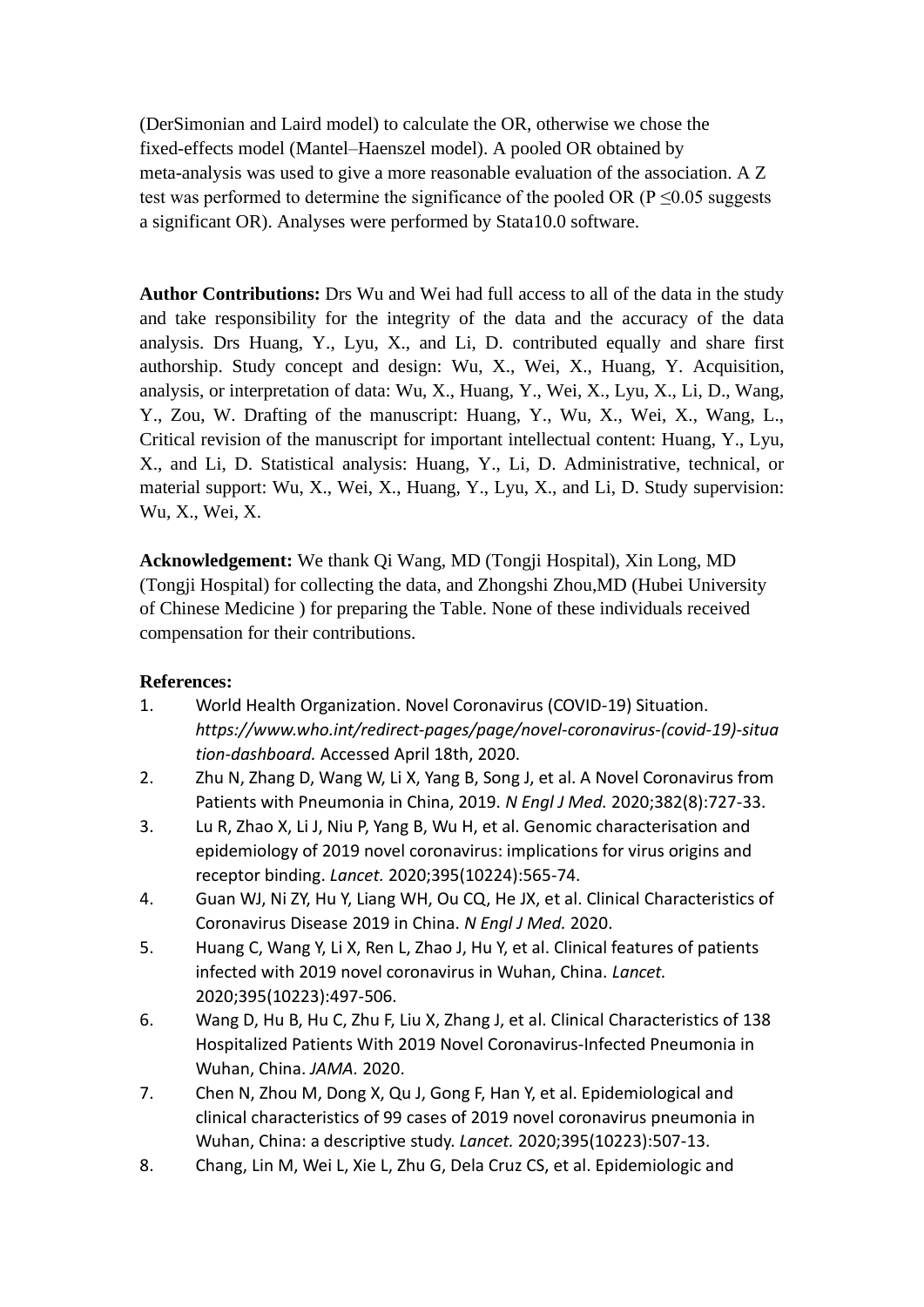(DerSimonian and Laird model) to calculate the OR, otherwise we chose the fixed-effects model (Mantel–Haenszel model). A pooled OR obtained by meta-analysis was used to give a more reasonable evaluation of the association. A Z test was performed to determine the significance of the pooled OR ( $P \le 0.05$  suggests a significant OR). Analyses were performed by Stata10.0 software.

**Author Contributions:** Drs Wu and Wei had full access to all of the data in the study and take responsibility for the integrity of the data and the accuracy of the data analysis. Drs Huang, Y., Lyu, X., and Li, D. contributed equally and share first authorship. Study concept and design: Wu, X., Wei, X., Huang, Y. Acquisition, analysis, or interpretation of data: Wu, X., Huang, Y., Wei, X., Lyu, X., Li, D., Wang, Y., Zou, W. Drafting of the manuscript: Huang, Y., Wu, X., Wei, X., Wang, L., Critical revision of the manuscript for important intellectual content: Huang, Y., Lyu, X., and Li, D. Statistical analysis: Huang, Y., Li, D. Administrative, technical, or material support: Wu, X., Wei, X., Huang, Y., Lyu, X., and Li, D. Study supervision: Wu, X., Wei, X.

**Acknowledgement:** We thank Qi Wang, MD (Tongji Hospital), Xin Long, MD (Tongji Hospital) for collecting the data, and Zhongshi Zhou,MD (Hubei University of Chinese Medicine ) for preparing the Table. None of these individuals received compensation for their contributions.

## **References:**

- 1. World Health Organization. Novel Coronavirus (COVID-19) Situation. *https://www.who.int/redirect-pages/page/novel-coronavirus-(covid-19)-situa tion-dashboard.* Accessed April 18th, 2020.
- 2. Zhu N, Zhang D, Wang W, Li X, Yang B, Song J, et al. A Novel Coronavirus from Patients with Pneumonia in China, 2019. *N Engl J Med.* 2020;382(8):727-33.
- 3. Lu R, Zhao X, Li J, Niu P, Yang B, Wu H, et al. Genomic characterisation and epidemiology of 2019 novel coronavirus: implications for virus origins and receptor binding. *Lancet.* 2020;395(10224):565-74.
- 4. Guan WJ, Ni ZY, Hu Y, Liang WH, Ou CQ, He JX, et al. Clinical Characteristics of Coronavirus Disease 2019 in China. *N Engl J Med.* 2020.
- 5. Huang C, Wang Y, Li X, Ren L, Zhao J, Hu Y, et al. Clinical features of patients infected with 2019 novel coronavirus in Wuhan, China. *Lancet.* 2020;395(10223):497-506.
- 6. Wang D, Hu B, Hu C, Zhu F, Liu X, Zhang J, et al. Clinical Characteristics of 138 Hospitalized Patients With 2019 Novel Coronavirus-Infected Pneumonia in Wuhan, China. *JAMA.* 2020.
- 7. Chen N, Zhou M, Dong X, Qu J, Gong F, Han Y, et al. Epidemiological and clinical characteristics of 99 cases of 2019 novel coronavirus pneumonia in Wuhan, China: a descriptive study. *Lancet.* 2020;395(10223):507-13.
- 8. Chang, Lin M, Wei L, Xie L, Zhu G, Dela Cruz CS, et al. Epidemiologic and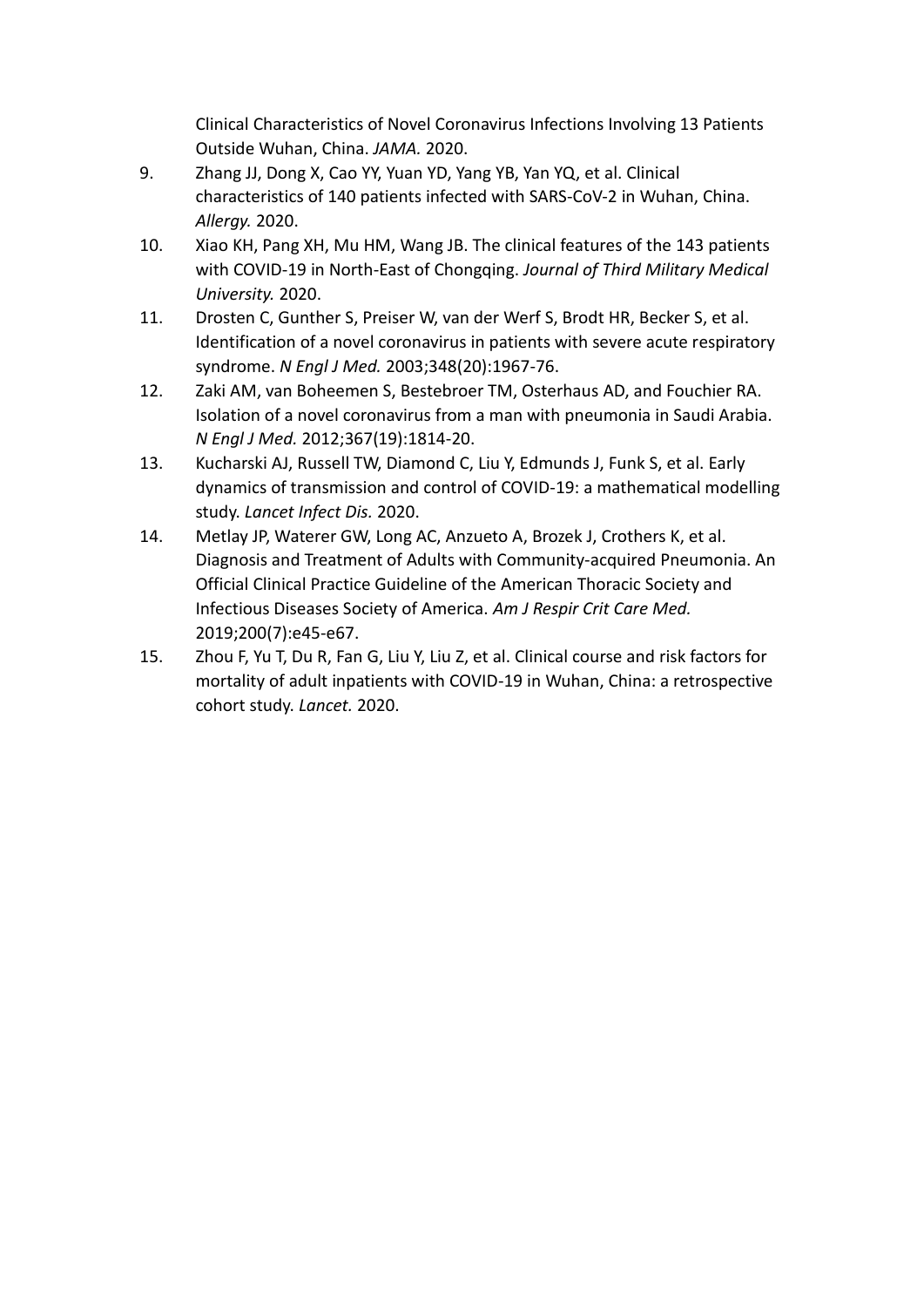Clinical Characteristics of Novel Coronavirus Infections Involving 13 Patients Outside Wuhan, China. *JAMA.* 2020.

- 9. Zhang JJ, Dong X, Cao YY, Yuan YD, Yang YB, Yan YQ, et al. Clinical characteristics of 140 patients infected with SARS-CoV-2 in Wuhan, China. *Allergy.* 2020.
- 10. Xiao KH, Pang XH, Mu HM, Wang JB. The clinical features of the 143 patients with COVID-19 in North-East of Chongqing. *Journal of Third Military Medical University.* 2020.
- 11. Drosten C, Gunther S, Preiser W, van der Werf S, Brodt HR, Becker S, et al. Identification of a novel coronavirus in patients with severe acute respiratory syndrome. *N Engl J Med.* 2003;348(20):1967-76.
- 12. Zaki AM, van Boheemen S, Bestebroer TM, Osterhaus AD, and Fouchier RA. Isolation of a novel coronavirus from a man with pneumonia in Saudi Arabia. *N Engl J Med.* 2012;367(19):1814-20.
- 13. Kucharski AJ, Russell TW, Diamond C, Liu Y, Edmunds J, Funk S, et al. Early dynamics of transmission and control of COVID-19: a mathematical modelling study. *Lancet Infect Dis.* 2020.
- 14. Metlay JP, Waterer GW, Long AC, Anzueto A, Brozek J, Crothers K, et al. Diagnosis and Treatment of Adults with Community-acquired Pneumonia. An Official Clinical Practice Guideline of the American Thoracic Society and Infectious Diseases Society of America. *Am J Respir Crit Care Med.* 2019;200(7):e45-e67.
- 15. Zhou F, Yu T, Du R, Fan G, Liu Y, Liu Z, et al. Clinical course and risk factors for mortality of adult inpatients with COVID-19 in Wuhan, China: a retrospective cohort study. *Lancet.* 2020.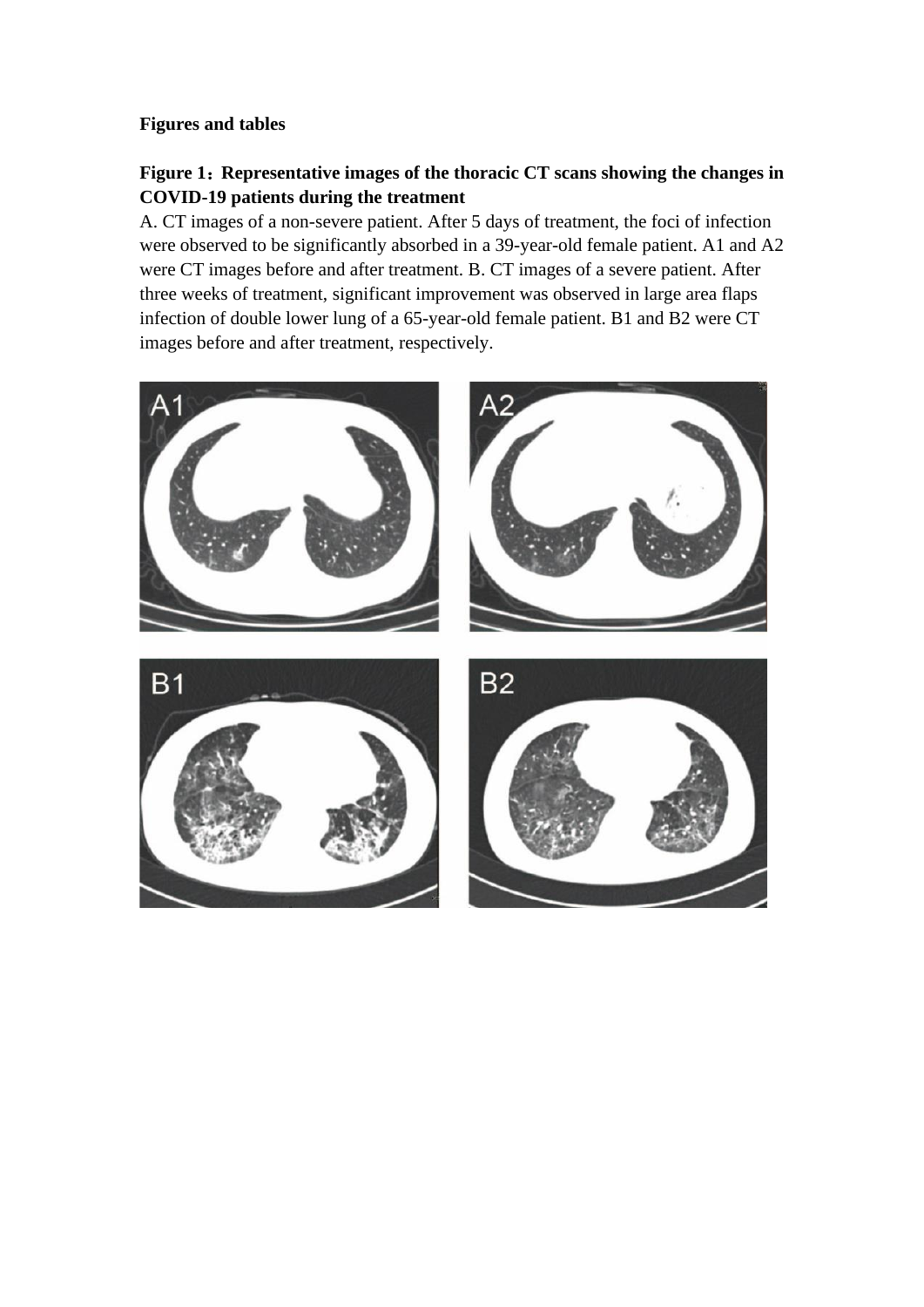### **Figures and tables**

# **Figure 1**:**Representative images of the thoracic CT scans showing the changes in COVID-19 patients during the treatment**

A. CT images of a non-severe patient. After 5 days of treatment, the foci of infection were observed to be significantly absorbed in a 39-year-old female patient. A1 and A2 were CT images before and after treatment. B. CT images of a severe patient. After three weeks of treatment, significant improvement was observed in large area flaps infection of double lower lung of a 65-year-old female patient. B1 and B2 were CT images before and after treatment, respectively.

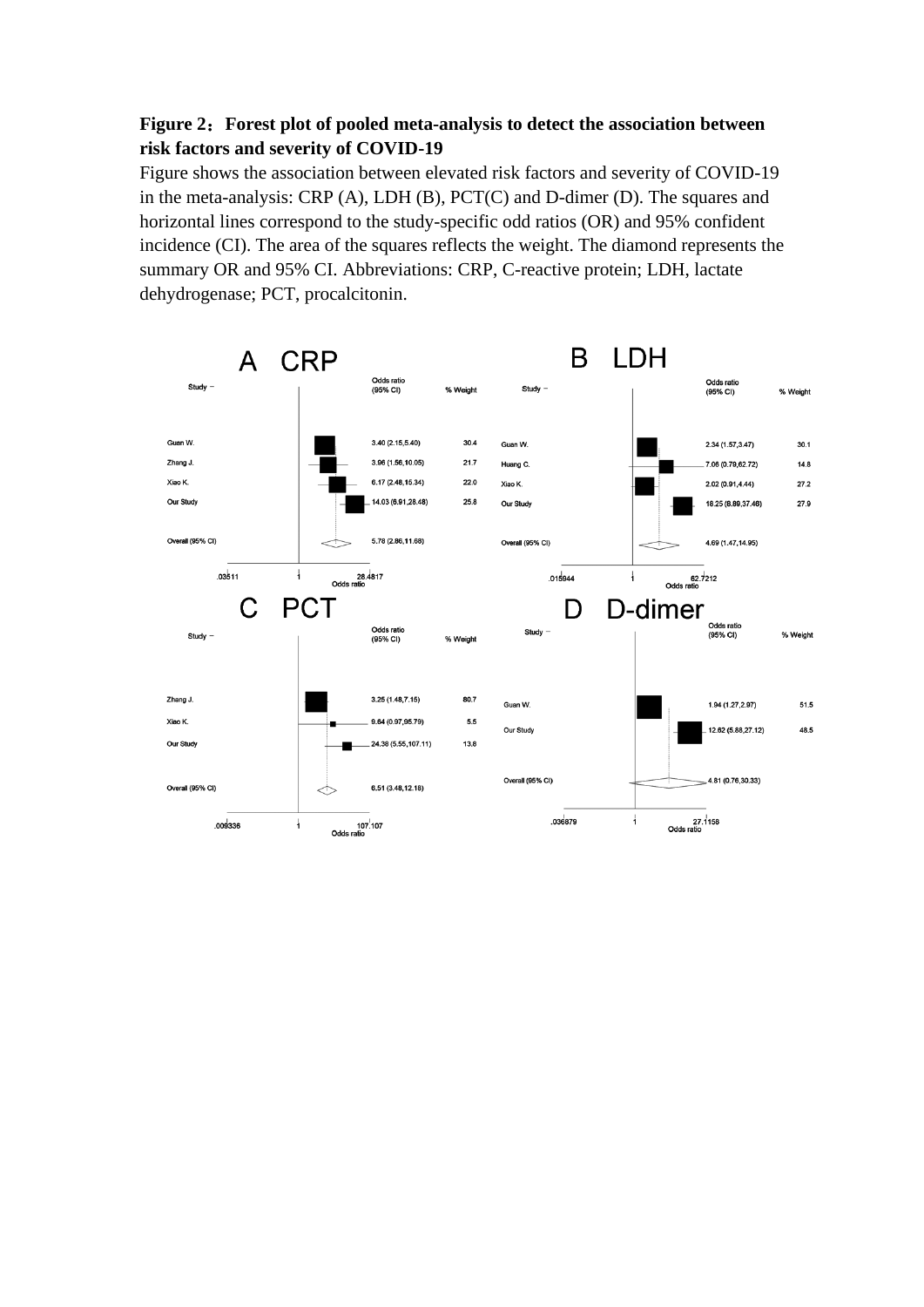# **Figure 2**:**Forest plot of pooled meta-analysis to detect the association between risk factors and severity of COVID-19**

Figure shows the association between elevated risk factors and severity of COVID-19 in the meta-analysis: CRP (A), LDH (B), PCT(C) and D-dimer (D). The squares and horizontal lines correspond to the study-specific odd ratios (OR) and 95% confident incidence (CI). The area of the squares reflects the weight. The diamond represents the summary OR and 95% CI. Abbreviations: CRP, C-reactive protein; LDH, lactate dehydrogenase; PCT, procalcitonin.

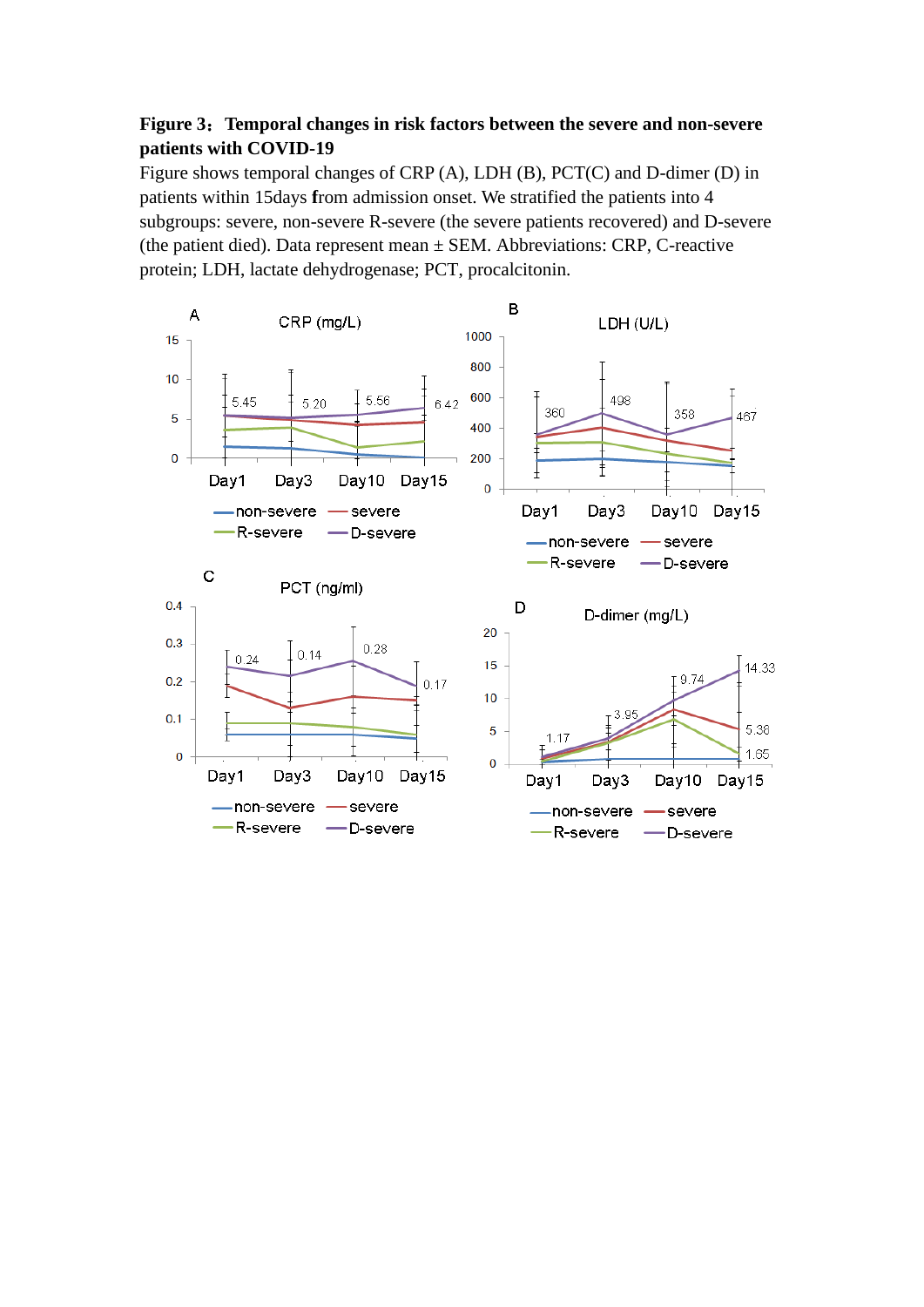## **Figure 3**:**Temporal changes in risk factors between the severe and non-severe patients with COVID-19**

Figure shows temporal changes of CRP (A), LDH (B), PCT(C) and D-dimer (D) in patients within 15days **f**rom admission onset. We stratified the patients into 4 subgroups: severe, non-severe R-severe (the severe patients recovered) and D-severe (the patient died). Data represent mean  $\pm$  SEM. Abbreviations: CRP, C-reactive protein; LDH, lactate dehydrogenase; PCT, procalcitonin.

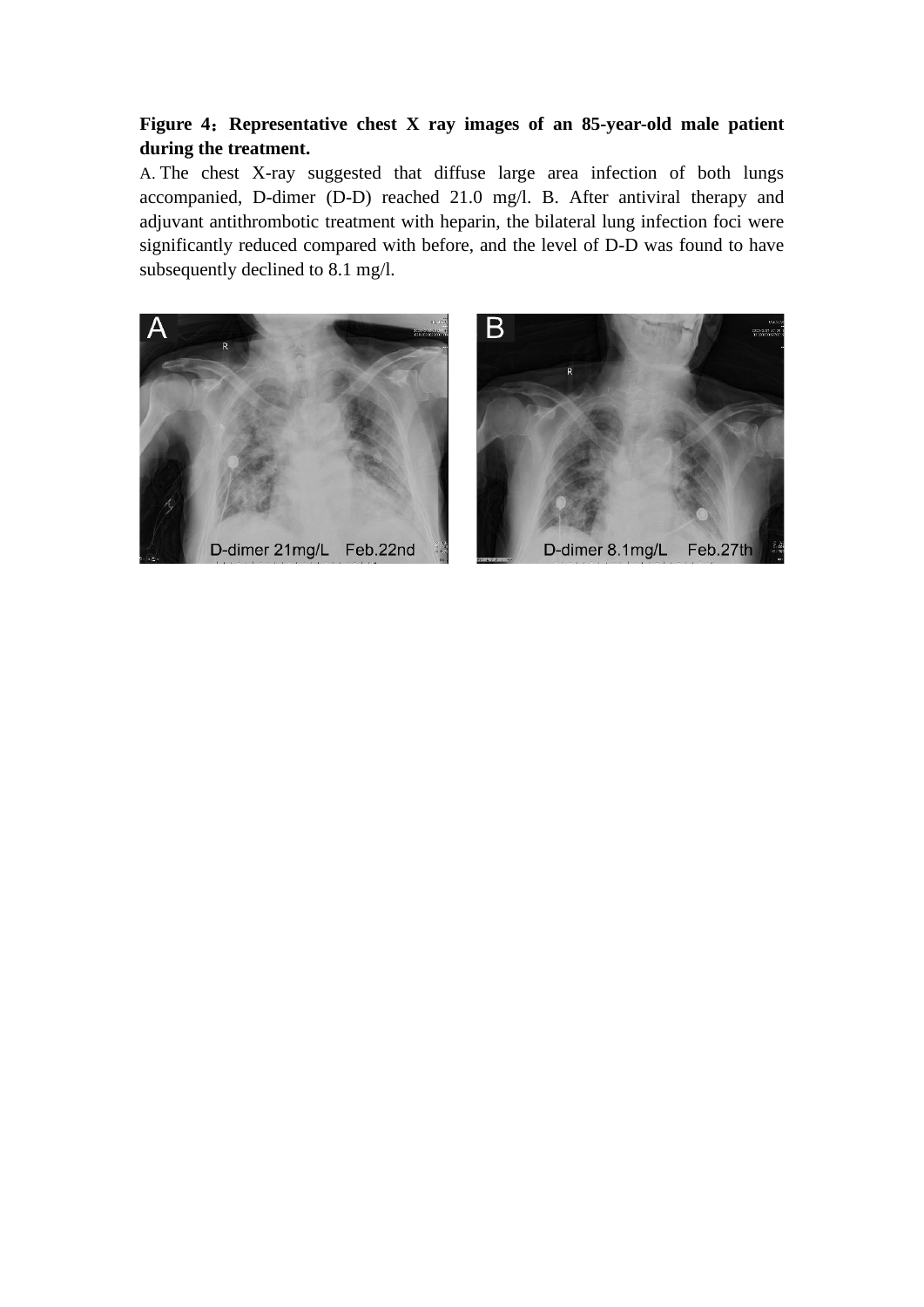# **Figure 4**:**Representative chest X ray images of an 85-year-old male patient during the treatment.**

A. The chest X-ray suggested that diffuse large area infection of both lungs accompanied, D-dimer (D-D) reached 21.0 mg/l. B. After antiviral therapy and adjuvant antithrombotic treatment with heparin, the bilateral lung infection foci were significantly reduced compared with before, and the level of D-D was found to have subsequently declined to 8.1 mg/l.



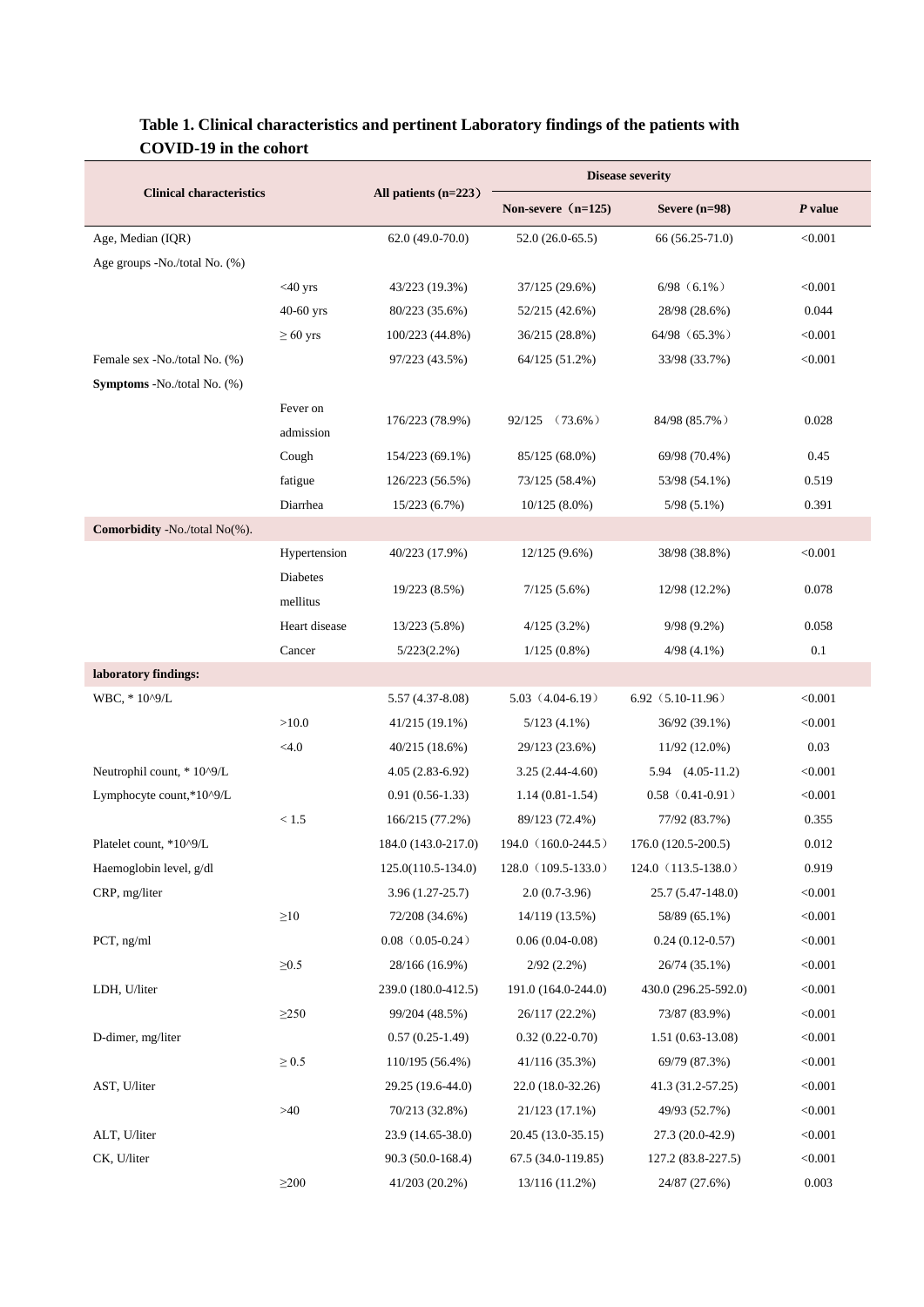|                                 |                 |                        | <b>Disease severity</b> |                       |         |  |  |  |
|---------------------------------|-----------------|------------------------|-------------------------|-----------------------|---------|--|--|--|
| <b>Clinical characteristics</b> |                 | All patients $(n=223)$ | Non-severe $(n=125)$    | Severe $(n=98)$       | P value |  |  |  |
| Age, Median (IQR)               |                 | $62.0(49.0-70.0)$      | $52.0(26.0-65.5)$       | 66 (56.25-71.0)       | < 0.001 |  |  |  |
| Age groups -No./total No. (%)   |                 |                        |                         |                       |         |  |  |  |
|                                 | $<$ 40 yrs      | 43/223 (19.3%)         | 37/125 (29.6%)          | $6/98$ (6.1%)         | < 0.001 |  |  |  |
|                                 | $40-60$ yrs     | 80/223 (35.6%)         | 52/215 (42.6%)          | 28/98 (28.6%)         | 0.044   |  |  |  |
|                                 | $\geq 60$ yrs   | 100/223 (44.8%)        | 36/215 (28.8%)          | 64/98 (65.3%)         | < 0.001 |  |  |  |
| Female sex -No./total No. (%)   |                 | 97/223 (43.5%)         | 64/125 (51.2%)          | 33/98 (33.7%)         | < 0.001 |  |  |  |
| Symptoms -No./total No. (%)     |                 |                        |                         |                       |         |  |  |  |
|                                 | Fever on        |                        |                         |                       |         |  |  |  |
|                                 | admission       | 176/223 (78.9%)        | $(73.6\%)$<br>92/125    | 84/98 (85.7%)         | 0.028   |  |  |  |
|                                 | Cough           | 154/223 (69.1%)        | 85/125 (68.0%)          | 69/98 (70.4%)         | 0.45    |  |  |  |
|                                 | fatigue         | 126/223 (56.5%)        | 73/125 (58.4%)          | 53/98 (54.1%)         | 0.519   |  |  |  |
|                                 | Diarrhea        | 15/223 (6.7%)          | $10/125(8.0\%)$         | $5/98(5.1\%)$         | 0.391   |  |  |  |
| Comorbidity -No./total No(%).   |                 |                        |                         |                       |         |  |  |  |
|                                 | Hypertension    | 40/223 (17.9%)         | 12/125 (9.6%)           | 38/98 (38.8%)         | < 0.001 |  |  |  |
|                                 | <b>Diabetes</b> | 19/223 (8.5%)          | $7/125(5.6\%)$          | 12/98 (12.2%)         | 0.078   |  |  |  |
|                                 | mellitus        |                        |                         |                       |         |  |  |  |
|                                 | Heart disease   | 13/223 (5.8%)          | $4/125(3.2\%)$          | 9/98 (9.2%)           | 0.058   |  |  |  |
|                                 | Cancer          | 5/223(2.2%)            | $1/125(0.8\%)$          | $4/98(4.1\%)$         | 0.1     |  |  |  |
| laboratory findings:            |                 |                        |                         |                       |         |  |  |  |
| WBC, *10^9/L                    |                 | 5.57 (4.37-8.08)       | $5.03(4.04-6.19)$       | $6.92$ $(5.10-11.96)$ | < 0.001 |  |  |  |
|                                 | >10.0           | 41/215 (19.1%)         | $5/123(4.1\%)$          | 36/92 (39.1%)         | < 0.001 |  |  |  |
|                                 | < 4.0           | 40/215 (18.6%)         | 29/123 (23.6%)          | 11/92 (12.0%)         | 0.03    |  |  |  |
| Neutrophil count, * 10^9/L      |                 | $4.05(2.83-6.92)$      | 3.25 (2.44-4.60)        | 5.94 (4.05-11.2)      | < 0.001 |  |  |  |
| Lymphocyte count,*10^9/L        |                 | $0.91(0.56-1.33)$      | $1.14(0.81-1.54)$       | $0.58$ $(0.41-0.91)$  | < 0.001 |  |  |  |
|                                 | < 1.5           | 166/215 (77.2%)        | 89/123 (72.4%)          | 77/92 (83.7%)         | 0.355   |  |  |  |
| Platelet count, *10^9/L         |                 | 184.0 (143.0-217.0)    | 194.0 (160.0-244.5)     | 176.0 (120.5-200.5)   | 0.012   |  |  |  |
| Haemoglobin level, g/dl         |                 | $125.0(110.5-134.0)$   | $128.0(109.5-133.0)$    | $124.0(113.5-138.0)$  | 0.919   |  |  |  |
| CRP, mg/liter                   |                 | $3.96(1.27-25.7)$      | $2.0(0.7-3.96)$         | 25.7 (5.47-148.0)     | < 0.001 |  |  |  |
|                                 | $\geq 10$       | 72/208 (34.6%)         | 14/119 (13.5%)          | 58/89 (65.1%)         | < 0.001 |  |  |  |
| PCT, ng/ml                      |                 | $0.08$ $(0.05-0.24)$   | $0.06(0.04-0.08)$       | $0.24(0.12-0.57)$     | < 0.001 |  |  |  |
|                                 | $\geq 0.5$      | 28/166 (16.9%)         | $2/92(2.2\%)$           | 26/74 (35.1%)         | < 0.001 |  |  |  |
| LDH, U/liter                    |                 | 239.0 (180.0-412.5)    | 191.0 (164.0-244.0)     | 430.0 (296.25-592.0)  | < 0.001 |  |  |  |
|                                 | $\geq$ 250      | 99/204 (48.5%)         | 26/117 (22.2%)          | 73/87 (83.9%)         | < 0.001 |  |  |  |
| D-dimer, mg/liter               |                 | $0.57(0.25-1.49)$      | $0.32(0.22 - 0.70)$     | $1.51(0.63-13.08)$    | < 0.001 |  |  |  |
|                                 | $\geq 0.5$      | 110/195 (56.4%)        | 41/116 (35.3%)          | 69/79 (87.3%)         | < 0.001 |  |  |  |
| AST, U/liter                    |                 | 29.25 (19.6-44.0)      | 22.0 (18.0-32.26)       | 41.3 (31.2-57.25)     | < 0.001 |  |  |  |
|                                 | >40             | 70/213 (32.8%)         | 21/123 (17.1%)          | 49/93 (52.7%)         | < 0.001 |  |  |  |
| ALT, U/liter                    |                 | 23.9 (14.65-38.0)      | 20.45 (13.0-35.15)      | 27.3 (20.0-42.9)      | < 0.001 |  |  |  |
| CK, U/liter                     |                 | 90.3 (50.0-168.4)      | 67.5 (34.0-119.85)      | 127.2 (83.8-227.5)    | < 0.001 |  |  |  |
|                                 | $\geq$ 200      | 41/203 (20.2%)         | 13/116 (11.2%)          | 24/87 (27.6%)         | 0.003   |  |  |  |

# **Table 1. Clinical characteristics and pertinent Laboratory findings of the patients with COVID-19 in the cohort**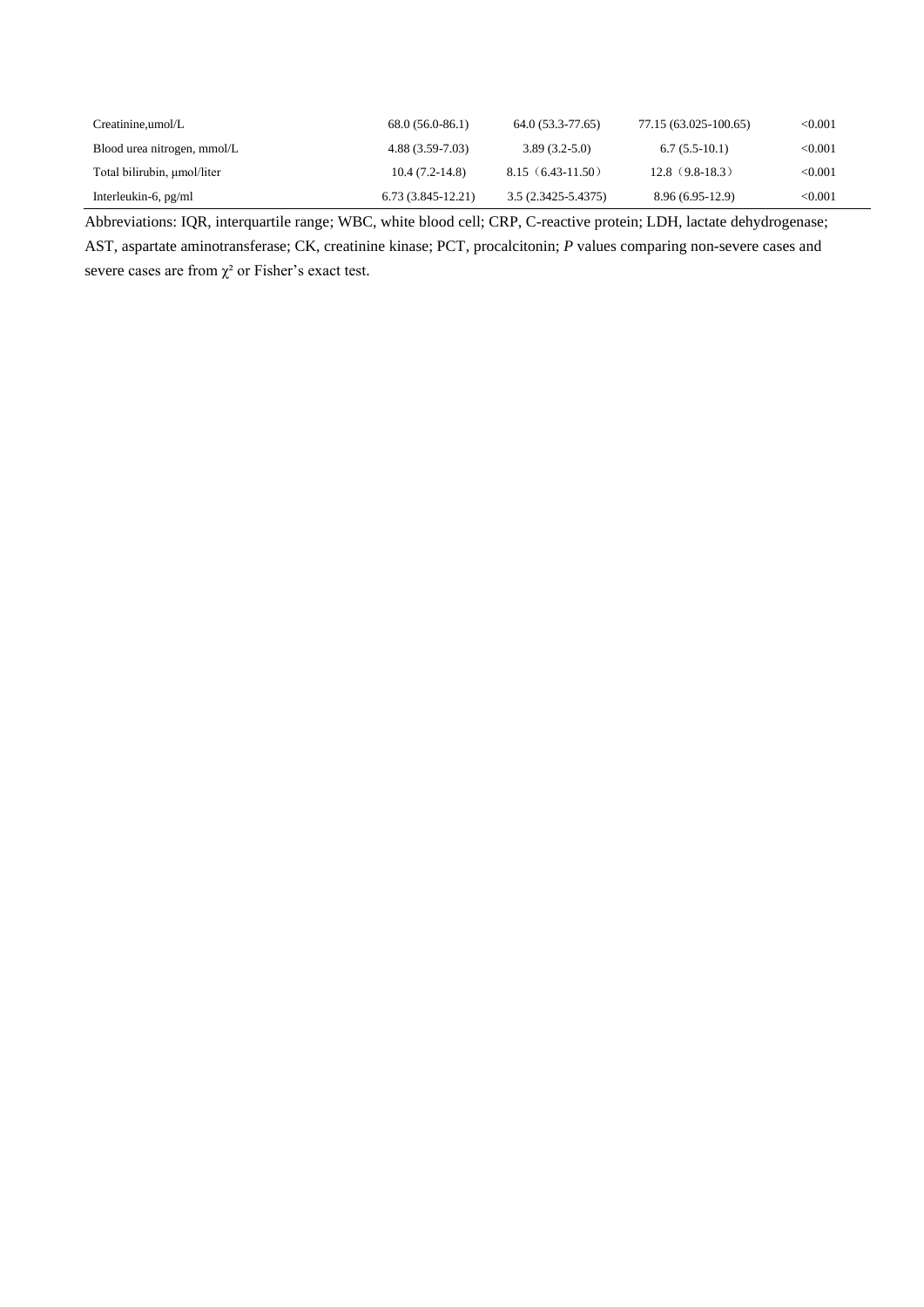| Creatinine.umol/L           | $68.0(56.0-86.1)$   | 64.0 (53.3-77.65)   | 77.15 (63.025-100.65) | < 0.001 |
|-----------------------------|---------------------|---------------------|-----------------------|---------|
| Blood urea nitrogen, mmol/L | $4.88(3.59-7.03)$   | $3.89(3.2-5.0)$     | $6.7(5.5-10.1)$       | < 0.001 |
| Total bilirubin, umol/liter | $10.4(7.2-14.8)$    | $8.15(6.43-11.50)$  | $12.8(9.8-18.3)$      | < 0.001 |
| Interleukin-6, $pg/ml$      | $6.73(3.845-12.21)$ | 3.5 (2.3425-5.4375) | 8.96 (6.95-12.9)      | <0.001  |

Abbreviations: IQR, interquartile range; WBC, white blood cell; CRP, C-reactive protein; LDH, lactate dehydrogenase; AST, aspartate aminotransferase; CK, creatinine kinase; PCT, procalcitonin; *P* values comparing non-severe cases and severe cases are from  $\chi^2$  or Fisher's exact test.